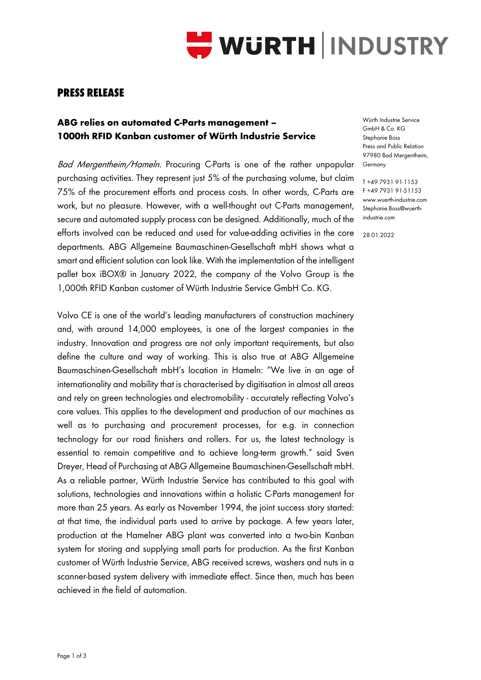

## **PRESS RELEASE**

## **ABG relies on automated C-Parts management – 1000th RFID Kanban customer of Würth Industrie Service**

Bad Mergentheim/Hameln. Procuring C-Parts is one of the rather unpopular purchasing activities. They represent just 5% of the purchasing volume, but claim 75% of the procurement efforts and process costs. In other words, C-Parts are work, but no pleasure. However, with a well-thought out C-Parts management, secure and automated supply process can be designed. Additionally, much of the efforts involved can be reduced and used for value-adding activities in the core departments. ABG Allgemeine Baumaschinen-Gesellschaft mbH shows what a smart and efficient solution can look like. With the implementation of the intelligent pallet box iBOX® in January 2022, the company of the Volvo Group is the 1,000th RFID Kanban customer of Würth Industrie Service GmbH Co. KG.

Volvo CE is one of the world's leading manufacturers of construction machinery and, with around 14,000 employees, is one of the largest companies in the industry. Innovation and progress are not only important requirements, but also define the culture and way of working. This is also true at ABG Allgemeine Baumaschinen-Gesellschaft mbH's location in Hameln: "We live in an age of internationality and mobility that is characterised by digitisation in almost all areas and rely on green technologies and electromobility - accurately reflecting Volvo's core values. This applies to the development and production of our machines as well as to purchasing and procurement processes, for e.g. in connection technology for our road finishers and rollers. For us, the latest technology is essential to remain competitive and to achieve long-term growth." said Sven Dreyer, Head of Purchasing at ABG Allgemeine Baumaschinen-Gesellschaft mbH. As a reliable partner, Würth Industrie Service has contributed to this goal with solutions, technologies and innovations within a holistic C-Parts management for more than 25 years. As early as November 1994, the joint success story started: at that time, the individual parts used to arrive by package. A few years later, production at the Hamelner ABG plant was converted into a two-bin Kanban system for storing and supplying small parts for production. As the first Kanban customer of Würth Industrie Service, ABG received screws, washers and nuts in a scanner-based system delivery with immediate effect. Since then, much has been achieved in the field of automation.

Würth Industrie Service GmbH & Co. KG Stephanie Boss Press and Public Relation 97980 Bad Mergentheim, Germany

T +49 7931 91-1153 F +49 7931 91-51153 www.wuerth-industrie.com Stephanie.Boss@wuerthindustrie.com

28.01.2022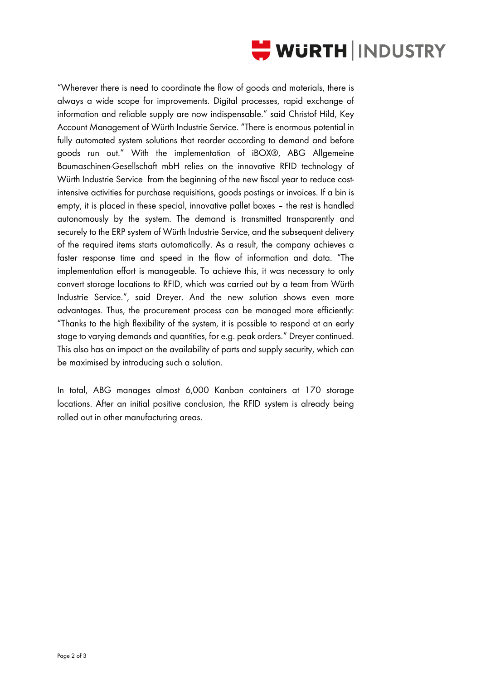

"Wherever there is need to coordinate the flow of goods and materials, there is always a wide scope for improvements. Digital processes, rapid exchange of information and reliable supply are now indispensable." said Christof Hild, Key Account Management of Würth Industrie Service. "There is enormous potential in fully automated system solutions that reorder according to demand and before goods run out." With the implementation of iBOX®, ABG Allgemeine Baumaschinen-Gesellschaft mbH relies on the innovative RFID technology of Würth Industrie Service from the beginning of the new fiscal year to reduce costintensive activities for purchase requisitions, goods postings or invoices. If a bin is empty, it is placed in these special, innovative pallet boxes – the rest is handled autonomously by the system. The demand is transmitted transparently and securely to the ERP system of Würth Industrie Service, and the subsequent delivery of the required items starts automatically. As a result, the company achieves a faster response time and speed in the flow of information and data. "The implementation effort is manageable. To achieve this, it was necessary to only convert storage locations to RFID, which was carried out by a team from Würth Industrie Service.", said Dreyer. And the new solution shows even more advantages. Thus, the procurement process can be managed more efficiently: "Thanks to the high flexibility of the system, it is possible to respond at an early stage to varying demands and quantities, for e.g. peak orders." Dreyer continued. This also has an impact on the availability of parts and supply security, which can be maximised by introducing such a solution.

In total, ABG manages almost 6,000 Kanban containers at 170 storage locations. After an initial positive conclusion, the RFID system is already being rolled out in other manufacturing areas.